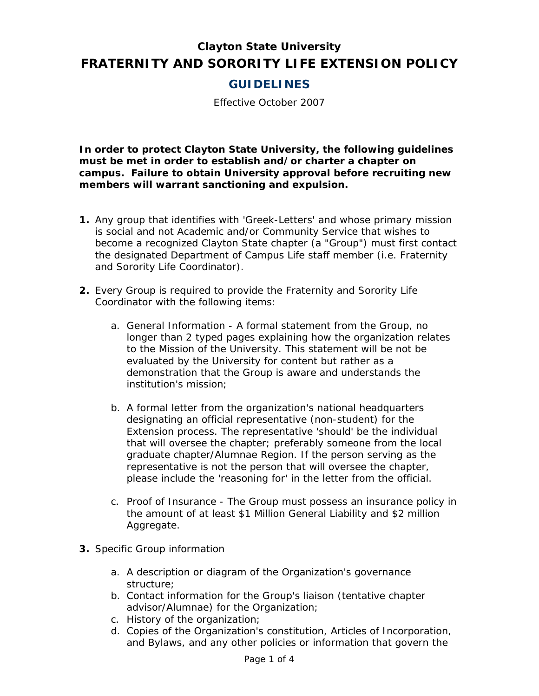# **Clayton State University FRATERNITY AND SORORITY LIFE EXTENSION POLICY**

# **GUIDELINES**

Effective October 2007

**In order to protect Clayton State University, the following guidelines must be met in order to establish and/or charter a chapter on campus. Failure to obtain University approval before recruiting new members will warrant sanctioning and expulsion.** 

- **1.** Any group that identifies with 'Greek-Letters' and whose primary mission is social and not Academic and/or Community Service that wishes to become a recognized Clayton State chapter (a "Group") must first contact the designated Department of Campus Life staff member (i.e. Fraternity and Sorority Life Coordinator).
- **2.** Every Group is required to provide the Fraternity and Sorority Life Coordinator with the following items:
	- a. General Information A formal statement from the Group, no longer than 2 typed pages explaining how the organization relates to the Mission of the University. This statement will be not be evaluated by the University for content but rather as a demonstration that the Group is aware and understands the institution's mission;
	- b. A formal letter from the organization's national headquarters designating an official representative (non-student) for the Extension process. The representative 'should' be the individual that will oversee the chapter; preferably someone from the local graduate chapter/Alumnae Region. If the person serving as the representative is not the person that will oversee the chapter, please include the 'reasoning for' in the letter from the official.
	- c. Proof of Insurance The Group must possess an insurance policy in the amount of at least \$1 Million General Liability and \$2 million Aggregate.
- **3.** Specific Group information
	- a. A description or diagram of the Organization's governance structure;
	- b. Contact information for the Group's liaison (tentative chapter advisor/Alumnae) for the Organization;
	- c. History of the organization;
	- d. Copies of the Organization's constitution, Articles of Incorporation, and Bylaws, and any other policies or information that govern the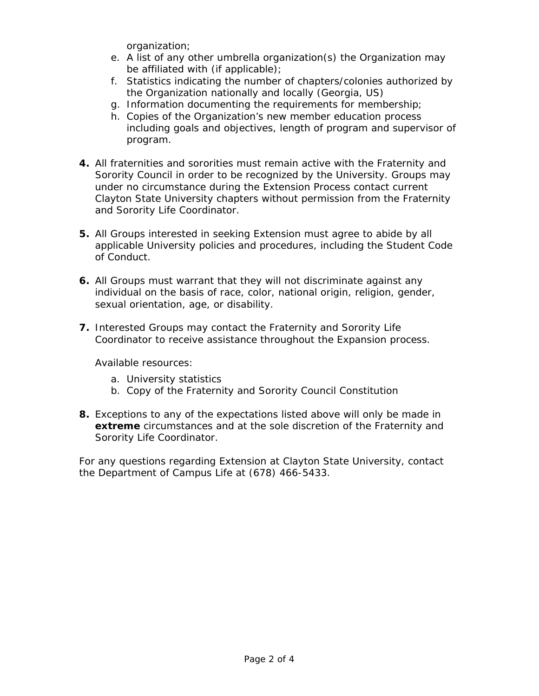organization;

- e. A list of any other umbrella organization(s) the Organization may be affiliated with (if applicable);
- f. Statistics indicating the number of chapters/colonies authorized by the Organization nationally and locally (Georgia, US)
- g. Information documenting the requirements for membership;
- h. Copies of the Organization's new member education process including goals and objectives, length of program and supervisor of program.
- **4.** All fraternities and sororities must remain active with the Fraternity and Sorority Council in order to be recognized by the University. Groups may under no circumstance during the Extension Process contact current Clayton State University chapters without permission from the Fraternity and Sorority Life Coordinator.
- **5.** All Groups interested in seeking Extension must agree to abide by all applicable University policies and procedures, including the Student Code of Conduct.
- **6.** All Groups must warrant that they will not discriminate against any individual on the basis of race, color, national origin, religion, gender, sexual orientation, age, or disability.
- **7.** Interested Groups may contact the Fraternity and Sorority Life Coordinator to receive assistance throughout the Expansion process.

Available resources:

- a. University statistics
- b. Copy of the Fraternity and Sorority Council Constitution
- **8.** Exceptions to any of the expectations listed above will only be made in **extreme** circumstances and at the sole discretion of the Fraternity and Sorority Life Coordinator.

For any questions regarding Extension at Clayton State University, contact the Department of Campus Life at (678) 466-5433.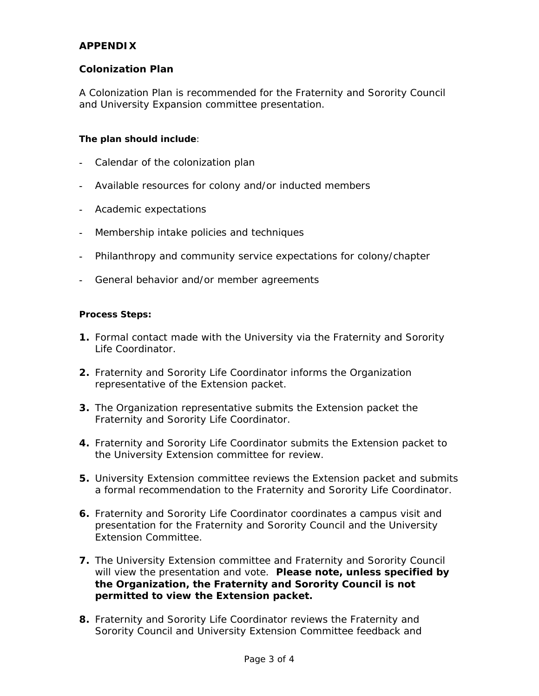## **APPENDIX**

## **Colonization Plan**

A Colonization Plan is recommended for the Fraternity and Sorority Council and University Expansion committee presentation.

#### **The plan should include**:

- **-** Calendar of the colonization plan
- **-** Available resources for colony and/or inducted members
- **-** Academic expectations
- **-** Membership intake policies and techniques
- **-** Philanthropy and community service expectations for colony/chapter
- **-** General behavior and/or member agreements

#### **Process Steps:**

- **1.** Formal contact made with the University via the Fraternity and Sorority Life Coordinator.
- **2.** Fraternity and Sorority Life Coordinator informs the Organization representative of the Extension packet.
- **3.** The Organization representative submits the Extension packet the Fraternity and Sorority Life Coordinator.
- **4.** Fraternity and Sorority Life Coordinator submits the Extension packet to the University Extension committee for review.
- **5.** University Extension committee reviews the Extension packet and submits a formal recommendation to the Fraternity and Sorority Life Coordinator.
- **6.** Fraternity and Sorority Life Coordinator coordinates a campus visit and presentation for the Fraternity and Sorority Council and the University Extension Committee.
- **7.** The University Extension committee and Fraternity and Sorority Council will view the presentation and vote. **Please note, unless specified by the Organization, the Fraternity and Sorority Council is not permitted to view the Extension packet.**
- **8.** Fraternity and Sorority Life Coordinator reviews the Fraternity and Sorority Council and University Extension Committee feedback and